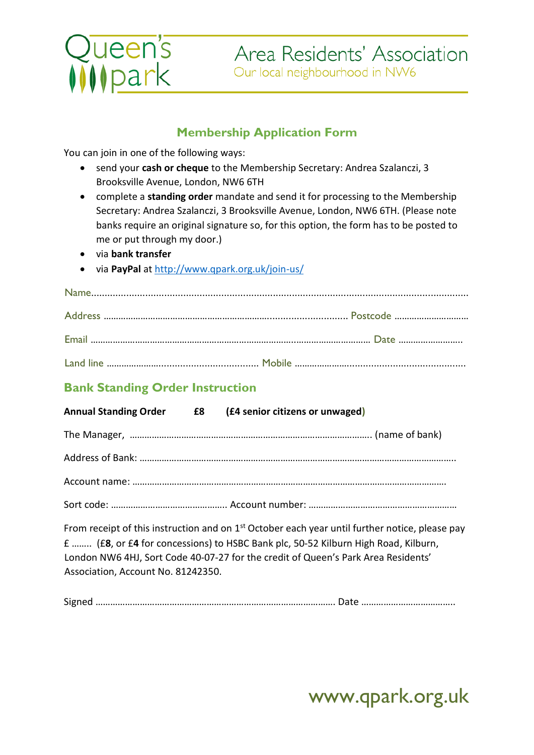

### **Membership Application Form**

You can join in one of the following ways:

- send your **cash or cheque** to the Membership Secretary: Andrea Szalanczi, 3 Brooksville Avenue, London, NW6 6TH
- complete a **standing order** mandate and send it for processing to the Membership Secretary: Andrea Szalanczi, 3 Brooksville Avenue, London, NW6 6TH. (Please note banks require an original signature so, for this option, the form has to be posted to me or put through my door.)
- via **bank transfe[r](http://www.qpark.org.uk/)**
- via **PayPal** at<http://www.qpark.org.uk/join-us/>

## **Bank Standing Order Instruction**

| <b>Annual Standing Order E8</b>    | (£4 senior citizens or unwaged)                                                                            |
|------------------------------------|------------------------------------------------------------------------------------------------------------|
|                                    |                                                                                                            |
|                                    |                                                                                                            |
|                                    |                                                                                                            |
|                                    |                                                                                                            |
|                                    | From receipt of this instruction and on 1 <sup>st</sup> October each year until further notice, please pay |
|                                    | f  (£8, or £4 for concessions) to HSBC Bank plc, 50-52 Kilburn High Road, Kilburn,                         |
|                                    | London NW6 4HJ, Sort Code 40-07-27 for the credit of Queen's Park Area Residents'                          |
| Association, Account No. 81242350. |                                                                                                            |

Signed ……………………………………………………………………………………. Date ………………………………..

# www.qpark.org.uk